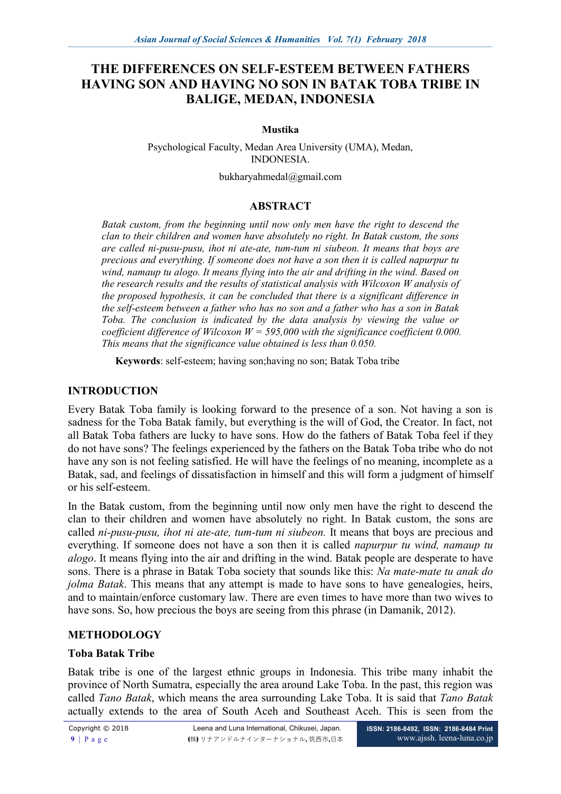# **THE DIFFERENCES ON SELF-ESTEEM BETWEEN FATHERS HAVING SON AND HAVING NO SON IN BATAK TOBA TRIBE IN BALIGE, MEDAN, INDONESIA**

### **Mustika**

Psychological Faculty, Medan Area University (UMA), Medan, INDONESIA.

bukharyahmedal@gmail.com

# **ABSTRACT**

*Batak custom, from the beginning until now only men have the right to descend the clan to their children and women have absolutely no right. In Batak custom, the sons are called ni-pusu-pusu, ihot ni ate-ate, tum-tum ni siubeon. It means that boys are precious and everything. If someone does not have a son then it is called napurpur tu wind, namaup tu alogo. It means flying into the air and drifting in the wind. Based on the research results and the results of statistical analysis with Wilcoxon W analysis of the proposed hypothesis, it can be concluded that there is a significant difference in the self-esteem between a father who has no son and a father who has a son in Batak Toba. The conclusion is indicated by the data analysis by viewing the value or coefficient difference of Wilcoxon W = 595,000 with the significance coefficient 0.000. This means that the significance value obtained is less than 0.050.* 

**Keywords**: self-esteem; having son;having no son; Batak Toba tribe

# **INTRODUCTION**

Every Batak Toba family is looking forward to the presence of a son. Not having a son is sadness for the Toba Batak family, but everything is the will of God, the Creator. In fact, not all Batak Toba fathers are lucky to have sons. How do the fathers of Batak Toba feel if they do not have sons? The feelings experienced by the fathers on the Batak Toba tribe who do not have any son is not feeling satisfied. He will have the feelings of no meaning, incomplete as a Batak, sad, and feelings of dissatisfaction in himself and this will form a judgment of himself or his self-esteem.

In the Batak custom, from the beginning until now only men have the right to descend the clan to their children and women have absolutely no right. In Batak custom, the sons are called *ni-pusu-pusu, ihot ni ate-ate, tum-tum ni siubeon.* It means that boys are precious and everything. If someone does not have a son then it is called *napurpur tu wind, namaup tu alogo*. It means flying into the air and drifting in the wind. Batak people are desperate to have sons. There is a phrase in Batak Toba society that sounds like this: *Na mate-mate tu anak do jolma Batak*. This means that any attempt is made to have sons to have genealogies, heirs, and to maintain/enforce customary law. There are even times to have more than two wives to have sons. So, how precious the boys are seeing from this phrase (in Damanik, 2012).

# **METHODOLOGY**

# **Toba Batak Tribe**

Batak tribe is one of the largest ethnic groups in Indonesia. This tribe many inhabit the province of North Sumatra, especially the area around Lake Toba. In the past, this region was called *Tano Batak*, which means the area surrounding Lake Toba. It is said that *Tano Batak* actually extends to the area of South Aceh and Southeast Aceh. This is seen from the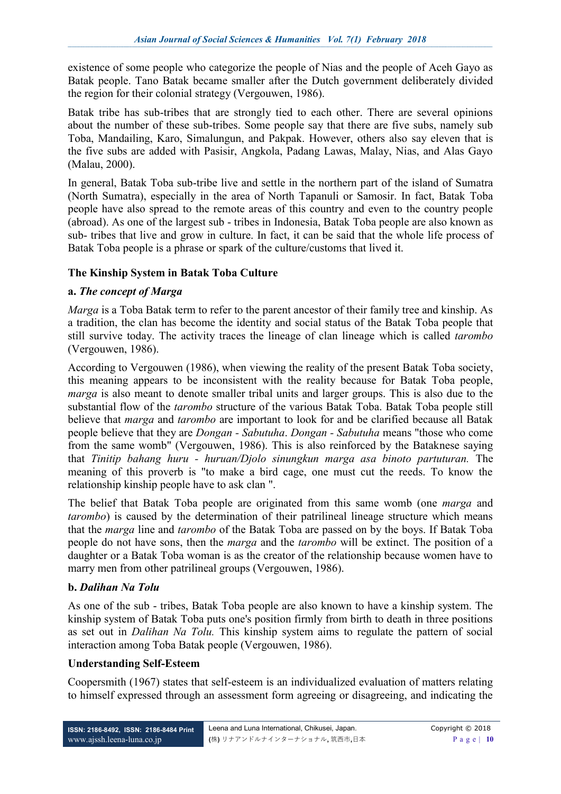existence of some people who categorize the people of Nias and the people of Aceh Gayo as Batak people. Tano Batak became smaller after the Dutch government deliberately divided the region for their colonial strategy (Vergouwen, 1986).

Batak tribe has sub-tribes that are strongly tied to each other. There are several opinions about the number of these sub-tribes. Some people say that there are five subs, namely sub Toba, Mandailing, Karo, Simalungun, and Pakpak. However, others also say eleven that is the five subs are added with Pasisir, Angkola, Padang Lawas, Malay, Nias, and Alas Gayo (Malau, 2000).

In general, Batak Toba sub-tribe live and settle in the northern part of the island of Sumatra (North Sumatra), especially in the area of North Tapanuli or Samosir. In fact, Batak Toba people have also spread to the remote areas of this country and even to the country people (abroad). As one of the largest sub - tribes in Indonesia, Batak Toba people are also known as sub- tribes that live and grow in culture. In fact, it can be said that the whole life process of Batak Toba people is a phrase or spark of the culture/customs that lived it.

# **The Kinship System in Batak Toba Culture**

# **a.** *The concept of Marga*

*Marga* is a Toba Batak term to refer to the parent ancestor of their family tree and kinship. As a tradition, the clan has become the identity and social status of the Batak Toba people that still survive today. The activity traces the lineage of clan lineage which is called *tarombo* (Vergouwen, 1986).

According to Vergouwen (1986), when viewing the reality of the present Batak Toba society, this meaning appears to be inconsistent with the reality because for Batak Toba people, *marga* is also meant to denote smaller tribal units and larger groups. This is also due to the substantial flow of the *tarombo* structure of the various Batak Toba. Batak Toba people still believe that *marga* and *tarombo* are important to look for and be clarified because all Batak people believe that they are *Dongan - Sabutuha*. *Dongan - Sabutuha* means "those who come from the same womb" (Vergouwen, 1986). This is also reinforced by the Bataknese saying that *Tinitip bahang huru - huruan/Djolo sinungkun marga asa binoto partuturan.* The meaning of this proverb is "to make a bird cage, one must cut the reeds. To know the relationship kinship people have to ask clan ".

The belief that Batak Toba people are originated from this same womb (one *marga* and *tarombo*) is caused by the determination of their patrilineal lineage structure which means that the *marga* line and *tarombo* of the Batak Toba are passed on by the boys. If Batak Toba people do not have sons, then the *marga* and the *tarombo* will be extinct. The position of a daughter or a Batak Toba woman is as the creator of the relationship because women have to marry men from other patrilineal groups (Vergouwen, 1986).

# **b.** *Dalihan Na Tolu*

As one of the sub - tribes, Batak Toba people are also known to have a kinship system. The kinship system of Batak Toba puts one's position firmly from birth to death in three positions as set out in *Dalihan Na Tolu.* This kinship system aims to regulate the pattern of social interaction among Toba Batak people (Vergouwen, 1986).

# **Understanding Self-Esteem**

Coopersmith (1967) states that self-esteem is an individualized evaluation of matters relating to himself expressed through an assessment form agreeing or disagreeing, and indicating the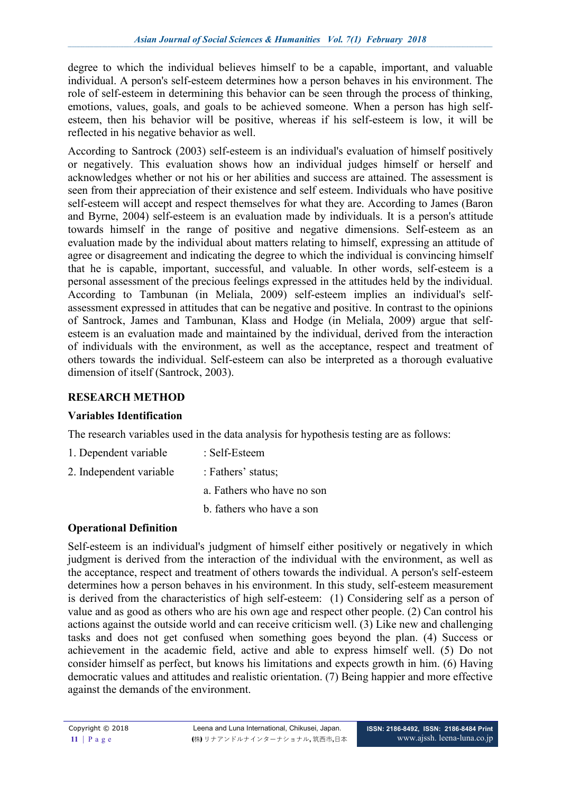degree to which the individual believes himself to be a capable, important, and valuable individual. A person's self-esteem determines how a person behaves in his environment. The role of self-esteem in determining this behavior can be seen through the process of thinking, emotions, values, goals, and goals to be achieved someone. When a person has high selfesteem, then his behavior will be positive, whereas if his self-esteem is low, it will be reflected in his negative behavior as well.

According to Santrock (2003) self-esteem is an individual's evaluation of himself positively or negatively. This evaluation shows how an individual judges himself or herself and acknowledges whether or not his or her abilities and success are attained. The assessment is seen from their appreciation of their existence and self esteem. Individuals who have positive self-esteem will accept and respect themselves for what they are. According to James (Baron and Byrne, 2004) self-esteem is an evaluation made by individuals. It is a person's attitude towards himself in the range of positive and negative dimensions. Self-esteem as an evaluation made by the individual about matters relating to himself, expressing an attitude of agree or disagreement and indicating the degree to which the individual is convincing himself that he is capable, important, successful, and valuable. In other words, self-esteem is a personal assessment of the precious feelings expressed in the attitudes held by the individual. According to Tambunan (in Meliala, 2009) self-esteem implies an individual's selfassessment expressed in attitudes that can be negative and positive. In contrast to the opinions of Santrock, James and Tambunan, Klass and Hodge (in Meliala, 2009) argue that selfesteem is an evaluation made and maintained by the individual, derived from the interaction of individuals with the environment, as well as the acceptance, respect and treatment of others towards the individual. Self-esteem can also be interpreted as a thorough evaluative dimension of itself (Santrock, 2003).

# **RESEARCH METHOD**

# **Variables Identification**

The research variables used in the data analysis for hypothesis testing are as follows:

- 1. Dependent variable : Self-Esteem
- 2. Independent variable : Fathers' status;
	- a. Fathers who have no son
	- b. fathers who have a son

# **Operational Definition**

Self-esteem is an individual's judgment of himself either positively or negatively in which judgment is derived from the interaction of the individual with the environment, as well as the acceptance, respect and treatment of others towards the individual. A person's self-esteem determines how a person behaves in his environment. In this study, self-esteem measurement is derived from the characteristics of high self-esteem: (1) Considering self as a person of value and as good as others who are his own age and respect other people. (2) Can control his actions against the outside world and can receive criticism well. (3) Like new and challenging tasks and does not get confused when something goes beyond the plan. (4) Success or achievement in the academic field, active and able to express himself well. (5) Do not consider himself as perfect, but knows his limitations and expects growth in him. (6) Having democratic values and attitudes and realistic orientation. (7) Being happier and more effective against the demands of the environment.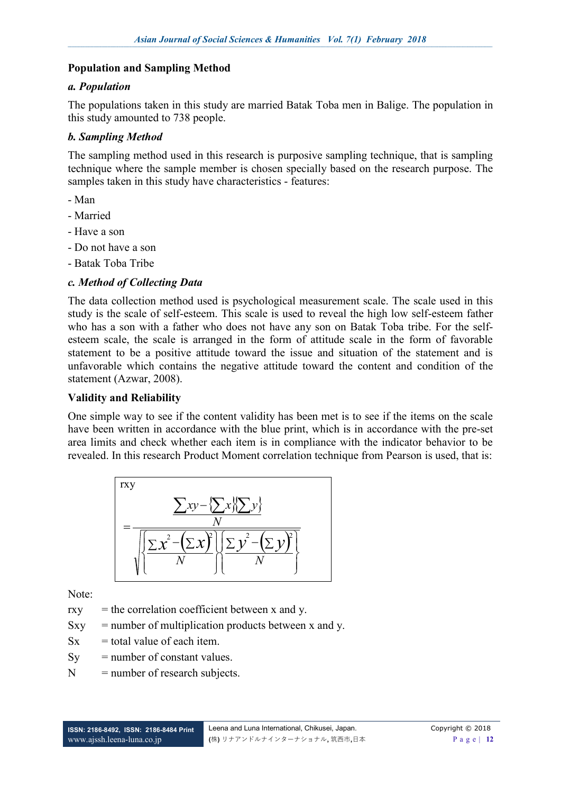#### **Population and Sampling Method**

#### *a. Population*

The populations taken in this study are married Batak Toba men in Balige. The population in this study amounted to 738 people.

# *b. Sampling Method*

The sampling method used in this research is purposive sampling technique, that is sampling technique where the sample member is chosen specially based on the research purpose. The samples taken in this study have characteristics - features:

- Man
- Married
- Have a son
- Do not have a son
- Batak Toba Tribe

# *c. Method of Collecting Data*

The data collection method used is psychological measurement scale. The scale used in this study is the scale of self-esteem. This scale is used to reveal the high low self-esteem father who has a son with a father who does not have any son on Batak Toba tribe. For the selfesteem scale, the scale is arranged in the form of attitude scale in the form of favorable statement to be a positive attitude toward the issue and situation of the statement and is unfavorable which contains the negative attitude toward the content and condition of the statement (Azwar, 2008).

#### **Validity and Reliability**

One simple way to see if the content validity has been met is to see if the items on the scale have been written in accordance with the blue print, which is in accordance with the pre-set area limits and check whether each item is in compliance with the indicator behavior to be revealed. In this research Product Moment correlation technique from Pearson is used, that is:



Note:

 $rxy =$  the correlation coefficient between x and y.

- $Sxy =$  number of multiplication products between x and y.
- $Sx =$  total value of each item.
- $S_v$  = number of constant values.
- $N =$  number of research subjects.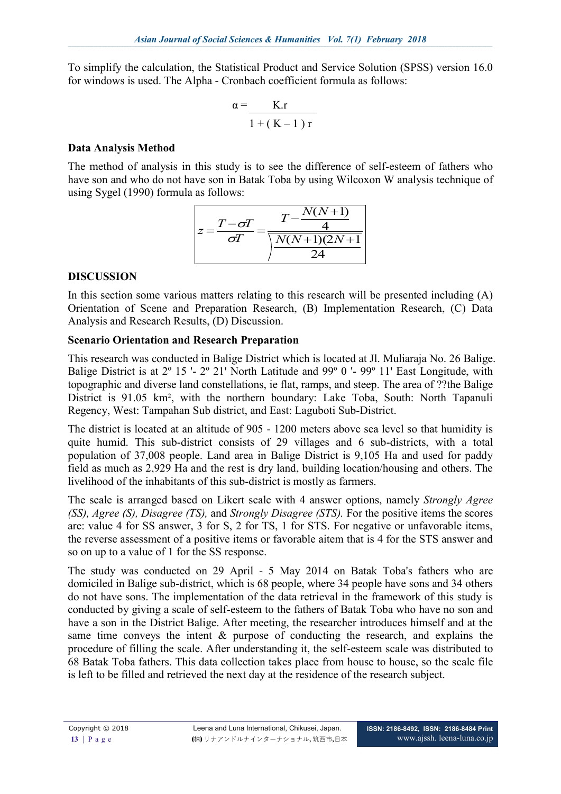To simplify the calculation, the Statistical Product and Service Solution (SPSS) version 16.0 for windows is used. The Alpha - Cronbach coefficient formula as follows:

$$
\alpha = \frac{K.r}{1 + (K - 1) r}
$$

# **Data Analysis Method**

The method of analysis in this study is to see the difference of self-esteem of fathers who have son and who do not have son in Batak Toba by using Wilcoxon W analysis technique of using Sygel (1990) formula as follows:

$$
z = \frac{T - \sigma T}{\sigma T} = \frac{T - \frac{N(N+1)}{4}}{\frac{N(N+1)(2N+1)}{24}}
$$

# **DISCUSSION**

In this section some various matters relating to this research will be presented including (A) Orientation of Scene and Preparation Research, (B) Implementation Research, (C) Data Analysis and Research Results, (D) Discussion.

# **Scenario Orientation and Research Preparation**

This research was conducted in Balige District which is located at Jl. Muliaraja No. 26 Balige. Balige District is at 2º 15 '- 2º 21' North Latitude and 99º 0 '- 99º 11' East Longitude, with topographic and diverse land constellations, ie flat, ramps, and steep. The area of ??the Balige District is 91.05 km², with the northern boundary: Lake Toba, South: North Tapanuli Regency, West: Tampahan Sub district, and East: Laguboti Sub-District.

The district is located at an altitude of 905 - 1200 meters above sea level so that humidity is quite humid. This sub-district consists of 29 villages and 6 sub-districts, with a total population of 37,008 people. Land area in Balige District is 9,105 Ha and used for paddy field as much as 2,929 Ha and the rest is dry land, building location/housing and others. The livelihood of the inhabitants of this sub-district is mostly as farmers.

The scale is arranged based on Likert scale with 4 answer options, namely *Strongly Agree (SS), Agree (S), Disagree (TS),* and *Strongly Disagree (STS).* For the positive items the scores are: value 4 for SS answer, 3 for S, 2 for TS, 1 for STS. For negative or unfavorable items, the reverse assessment of a positive items or favorable aitem that is 4 for the STS answer and so on up to a value of 1 for the SS response.

The study was conducted on 29 April - 5 May 2014 on Batak Toba's fathers who are domiciled in Balige sub-district, which is 68 people, where 34 people have sons and 34 others do not have sons. The implementation of the data retrieval in the framework of this study is conducted by giving a scale of self-esteem to the fathers of Batak Toba who have no son and have a son in the District Balige. After meeting, the researcher introduces himself and at the same time conveys the intent  $\&$  purpose of conducting the research, and explains the procedure of filling the scale. After understanding it, the self-esteem scale was distributed to 68 Batak Toba fathers. This data collection takes place from house to house, so the scale file is left to be filled and retrieved the next day at the residence of the research subject.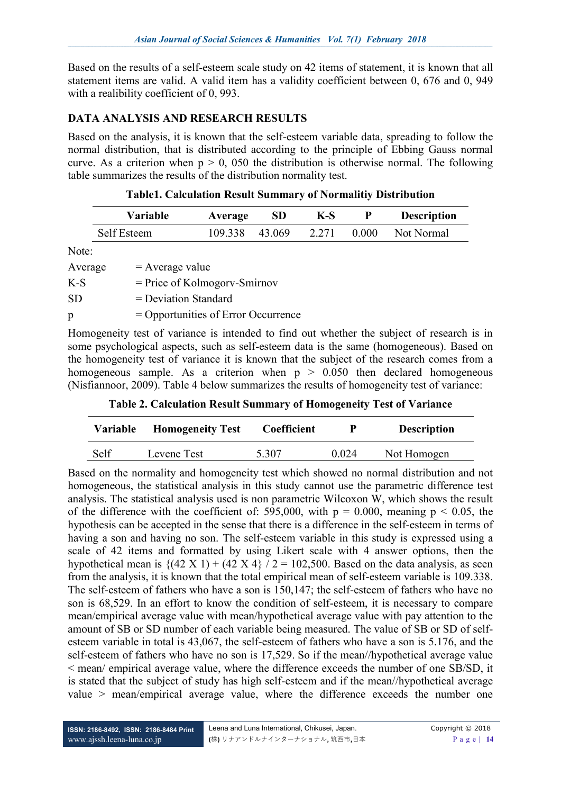Based on the results of a self-esteem scale study on 42 items of statement, it is known that all statement items are valid. A valid item has a validity coefficient between 0, 676 and 0, 949 with a realibility coefficient of 0, 993.

# **DATA ANALYSIS AND RESEARCH RESULTS**

Based on the analysis, it is known that the self-esteem variable data, spreading to follow the normal distribution, that is distributed according to the principle of Ebbing Gauss normal curve. As a criterion when  $p > 0$ , 050 the distribution is otherwise normal. The following table summarizes the results of the distribution normality test.

| <b>Table1. Calculation Result Summary of Normalitiy Distribution</b> |  |  |  |
|----------------------------------------------------------------------|--|--|--|
|----------------------------------------------------------------------|--|--|--|

|           | <b>Variable</b>        | Average                               | <b>SD</b> | $K-S$ | P     | <b>Description</b> |
|-----------|------------------------|---------------------------------------|-----------|-------|-------|--------------------|
|           | Self Esteem            | 109.338                               | 43.069    | 2.271 | 0.000 | Not Normal         |
| Note:     |                        |                                       |           |       |       |                    |
| Average   | $=$ Average value      |                                       |           |       |       |                    |
| $K-S$     |                        | $=$ Price of Kolmogory-Smirnov        |           |       |       |                    |
| <b>SD</b> | $=$ Deviation Standard |                                       |           |       |       |                    |
| p         |                        | $=$ Opportunities of Error Occurrence |           |       |       |                    |

Homogeneity test of variance is intended to find out whether the subject of research is in some psychological aspects, such as self-esteem data is the same (homogeneous). Based on the homogeneity test of variance it is known that the subject of the research comes from a homogeneous sample. As a criterion when  $p > 0.050$  then declared homogeneous (Nisfiannoor, 2009). Table 4 below summarizes the results of homogeneity test of variance:

**Table 2. Calculation Result Summary of Homogeneity Test of Variance**

| Variable | <b>Homogeneity Test</b> | <b>Coefficient</b> | р     | <b>Description</b> |
|----------|-------------------------|--------------------|-------|--------------------|
| Self     | Levene Test             | 5 307              | 0.024 | Not Homogen        |

Based on the normality and homogeneity test which showed no normal distribution and not homogeneous, the statistical analysis in this study cannot use the parametric difference test analysis. The statistical analysis used is non parametric Wilcoxon W, which shows the result of the difference with the coefficient of: 595,000, with  $p = 0.000$ , meaning  $p \le 0.05$ , the hypothesis can be accepted in the sense that there is a difference in the self-esteem in terms of having a son and having no son. The self-esteem variable in this study is expressed using a scale of 42 items and formatted by using Likert scale with 4 answer options, then the hypothetical mean is  $\{(42 \text{ X } 1) + (42 \text{ X } 4) / 2 = 102,500\}$ . Based on the data analysis, as seen from the analysis, it is known that the total empirical mean of self-esteem variable is 109.338. The self-esteem of fathers who have a son is 150,147; the self-esteem of fathers who have no son is 68,529. In an effort to know the condition of self-esteem, it is necessary to compare mean/empirical average value with mean/hypothetical average value with pay attention to the amount of SB or SD number of each variable being measured. The value of SB or SD of selfesteem variable in total is 43,067, the self-esteem of fathers who have a son is 5.176, and the self-esteem of fathers who have no son is 17,529. So if the mean//hypothetical average value < mean/ empirical average value, where the difference exceeds the number of one SB/SD, it is stated that the subject of study has high self-esteem and if the mean//hypothetical average value > mean/empirical average value, where the difference exceeds the number one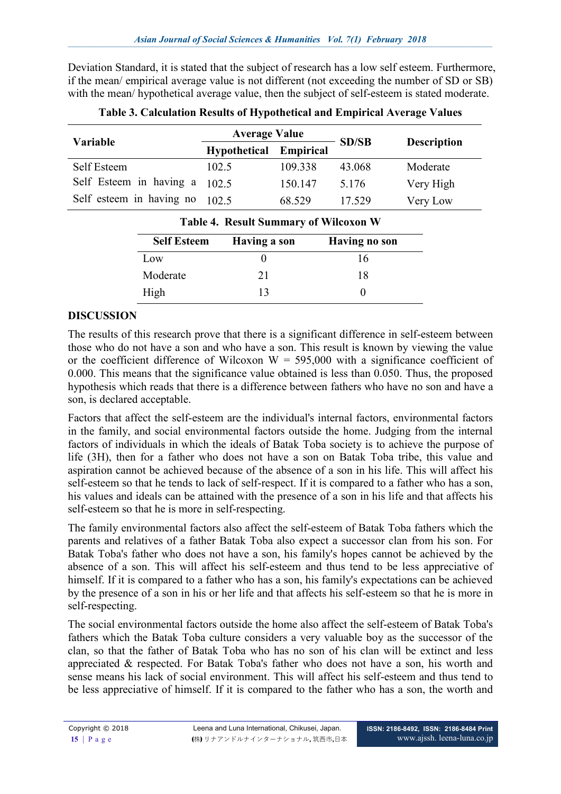Deviation Standard, it is stated that the subject of research has a low self esteem. Furthermore, if the mean/ empirical average value is not different (not exceeding the number of SD or SB) with the mean/ hypothetical average value, then the subject of self-esteem is stated moderate.

| Variable                      | <b>Average Value</b> |                  | <b>SD/SB</b> | <b>Description</b> |  |
|-------------------------------|----------------------|------------------|--------------|--------------------|--|
|                               | Hypothetical         | <b>Empirical</b> |              |                    |  |
| Self Esteem                   | 102.5                | 109.338          | 43.068       | Moderate           |  |
| Self Esteem in having a 102.5 |                      | 150.147          | 5 1 7 6      | Very High          |  |
| Self esteem in having no      | 102.5                | 68.529           | 17.529       | Very Low           |  |
|                               |                      |                  |              |                    |  |

**Table 3. Calculation Results of Hypothetical and Empirical Average Values**

| <b>Table 4. Result Summary of Wilcoxon W</b> |              |               |  |
|----------------------------------------------|--------------|---------------|--|
| <b>Self Esteem</b>                           | Having a son | Having no son |  |
| Low                                          |              | 16            |  |
| Moderate                                     | 21           | 18            |  |
| High                                         | 13           |               |  |

# **DISCUSSION**

The results of this research prove that there is a significant difference in self-esteem between those who do not have a son and who have a son. This result is known by viewing the value or the coefficient difference of Wilcoxon  $W = 595,000$  with a significance coefficient of 0.000. This means that the significance value obtained is less than 0.050. Thus, the proposed hypothesis which reads that there is a difference between fathers who have no son and have a son, is declared acceptable.

Factors that affect the self-esteem are the individual's internal factors, environmental factors in the family, and social environmental factors outside the home. Judging from the internal factors of individuals in which the ideals of Batak Toba society is to achieve the purpose of life (3H), then for a father who does not have a son on Batak Toba tribe, this value and aspiration cannot be achieved because of the absence of a son in his life. This will affect his self-esteem so that he tends to lack of self-respect. If it is compared to a father who has a son, his values and ideals can be attained with the presence of a son in his life and that affects his self-esteem so that he is more in self-respecting.

The family environmental factors also affect the self-esteem of Batak Toba fathers which the parents and relatives of a father Batak Toba also expect a successor clan from his son. For Batak Toba's father who does not have a son, his family's hopes cannot be achieved by the absence of a son. This will affect his self-esteem and thus tend to be less appreciative of himself. If it is compared to a father who has a son, his family's expectations can be achieved by the presence of a son in his or her life and that affects his self-esteem so that he is more in self-respecting.

The social environmental factors outside the home also affect the self-esteem of Batak Toba's fathers which the Batak Toba culture considers a very valuable boy as the successor of the clan, so that the father of Batak Toba who has no son of his clan will be extinct and less appreciated & respected. For Batak Toba's father who does not have a son, his worth and sense means his lack of social environment. This will affect his self-esteem and thus tend to be less appreciative of himself. If it is compared to the father who has a son, the worth and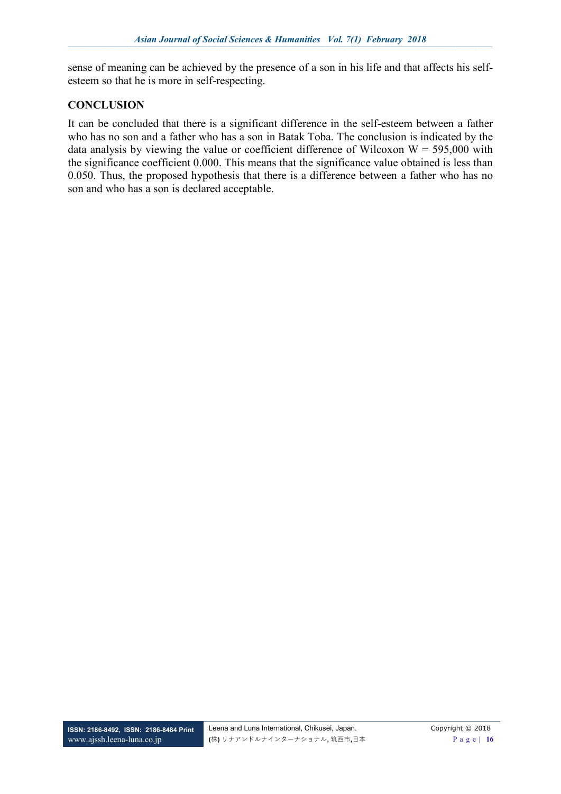sense of meaning can be achieved by the presence of a son in his life and that affects his selfesteem so that he is more in self-respecting.

# **CONCLUSION**

It can be concluded that there is a significant difference in the self-esteem between a father who has no son and a father who has a son in Batak Toba. The conclusion is indicated by the data analysis by viewing the value or coefficient difference of Wilcoxon  $W = 595,000$  with the significance coefficient 0.000. This means that the significance value obtained is less than 0.050. Thus, the proposed hypothesis that there is a difference between a father who has no son and who has a son is declared acceptable.